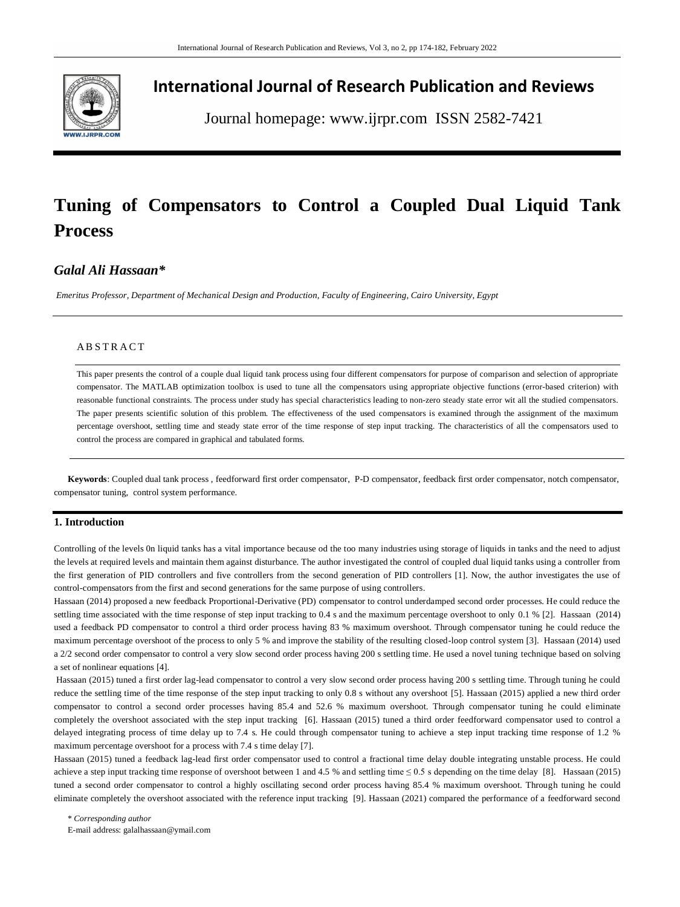

## **International Journal of Research Publication and Reviews**

Journal homepage: www.ijrpr.com ISSN 2582-7421

# **Tuning of Compensators to Control a Coupled Dual Liquid Tank Process**

## *Galal Ali Hassaan\**

*Emeritus Professor, Department of Mechanical Design and Production, Faculty of Engineering, Cairo University, Egypt*

#### **ABSTRACT**

This paper presents the control of a couple dual liquid tank process using four different compensators for purpose of comparison and selection of appropriate compensator. The MATLAB optimization toolbox is used to tune all the compensators using appropriate objective functions (error-based criterion) with reasonable functional constraints. The process under study has special characteristics leading to non-zero steady state error wit all the studied compensators. The paper presents scientific solution of this problem. The effectiveness of the used compensators is examined through the assignment of the maximum percentage overshoot, settling time and steady state error of the time response of step input tracking. The characteristics of all the compensators used to control the process are compared in graphical and tabulated forms.

**Keywords**: Coupled dual tank process , feedforward first order compensator, P-D compensator, feedback first order compensator, notch compensator, compensator tuning, control system performance.

#### **1. Introduction**

Controlling of the levels 0n liquid tanks has a vital importance because od the too many industries using storage of liquids in tanks and the need to adjust the levels at required levels and maintain them against disturbance. The author investigated the control of coupled dual liquid tanks using a controller from the first generation of PID controllers and five controllers from the second generation of PID controllers [1]. Now, the author investigates the use of control-compensators from the first and second generations for the same purpose of using controllers.

Hassaan (2014) proposed a new feedback Proportional-Derivative (PD) compensator to control underdamped second order processes. He could reduce the settling time associated with the time response of step input tracking to 0.4 s and the maximum percentage overshoot to only 0.1 % [2]. Hassaan (2014) used a feedback PD compensator to control a third order process having 83 % maximum overshoot. Through compensator tuning he could reduce the maximum percentage overshoot of the process to only 5 % and improve the stability of the resulting closed-loop control system [3]. Hassaan (2014) used a 2/2 second order compensator to control a very slow second order process having 200 s settling time. He used a novel tuning technique based on solving a set of nonlinear equations [4].

Hassaan (2015) tuned a first order lag-lead compensator to control a very slow second order process having 200 s settling time. Through tuning he could reduce the settling time of the time response of the step input tracking to only 0.8 s without any overshoot [5]. Hassaan (2015) applied a new third order compensator to control a second order processes having 85.4 and 52.6 % maximum overshoot. Through compensator tuning he could eliminate completely the overshoot associated with the step input tracking [6]. Hassaan (2015) tuned a third order feedforward compensator used to control a delayed integrating process of time delay up to 7.4 s. He could through compensator tuning to achieve a step input tracking time response of 1.2 % maximum percentage overshoot for a process with 7.4 s time delay [7].

Hassaan (2015) tuned a feedback lag-lead first order compensator used to control a fractional time delay double integrating unstable process. He could achieve a step input tracking time response of overshoot between 1 and 4.5 % and settling time ≤ 0.5 s depending on the time delay [8]. Hassaan (2015) tuned a second order compensator to control a highly oscillating second order process having 85.4 % maximum overshoot. Through tuning he could eliminate completely the overshoot associated with the reference input tracking [9]. Hassaan (2021) compared the performance of a feedforward second

\* *Corresponding author* E-mail address: galalhassaan@ymail.com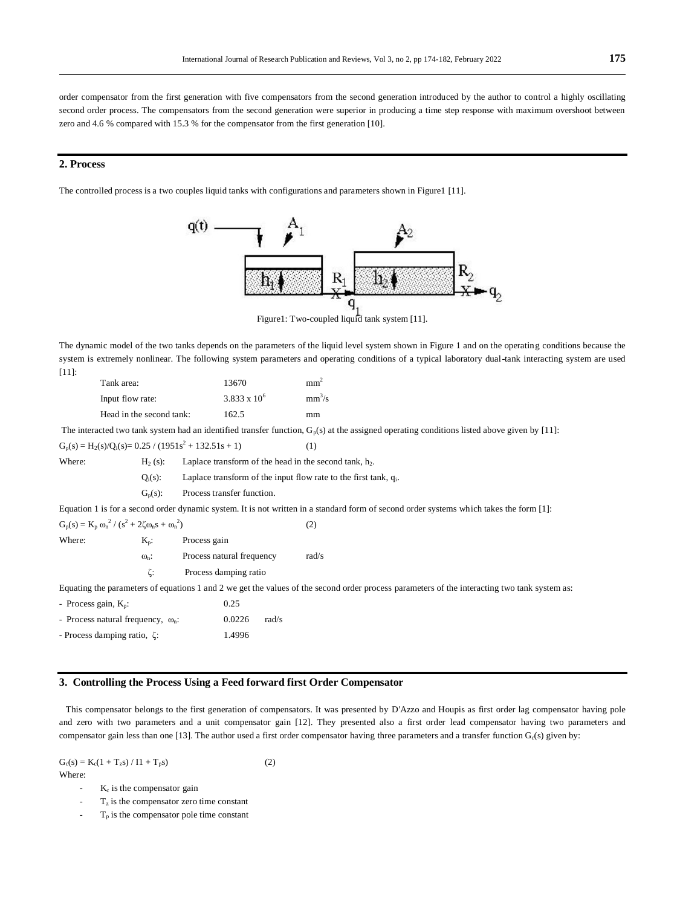order compensator from the first generation with five compensators from the second generation introduced by the author to control a highly oscillating second order process. The compensators from the second generation were superior in producing a time step response with maximum overshoot between zero and 4.6 % compared with 15.3 % for the compensator from the first generation [10].

#### **2. Process**

The controlled process is a two couples liquid tanks with configurations and parameters shown in Figure1 [11].



Figure1: Two-coupled liquid tank system [11].

The dynamic model of the two tanks depends on the parameters of the liquid level system shown in Figure 1 and on the operating conditions because the system is extremely nonlinear. The following system parameters and operating conditions of a typical laboratory dual-tank interacting system are used [11]:

| Tank area:               | 13670                 | mm <sup>2</sup> |
|--------------------------|-----------------------|-----------------|
| Input flow rate:         | $3.833 \times 10^{6}$ | $mm^3/s$        |
| Head in the second tank: | 162.5                 | mm              |

The interacted two tank system had an identified transfer function,  $G_p(s)$  at the assigned operating conditions listed above given by [11]:

 $G_p(s) = H_2(s)/Q_i(s) = 0.25 / (1951s^2 + 132.51s + 1)$  (1) Where:  $H_2(s)$ : Laplace transform of the head in the second tank, h<sub>2</sub>.  $Q_i(s)$ : Laplace transform of the input flow rate to the first tank,  $q_i$ .  $G_p(s)$ : Process transfer function. Equation 1 is for a second order dynamic system. It is not written in a standard form of second order systems which takes the form [1]:  $G_p(s) = K_p \omega_n^2 / (s^2 + 2\zeta \omega_n s + \omega_n^2)$  $(2)$ Where:  $K_p$ : Process gain  $\omega_n$ : Process natural frequency rad/s ζ: Process damping ratio Equating the parameters of equations 1 and 2 we get the values of the second order process parameters of the interacting two tank system as:  $-$  Process gain,  $K_p$ : 0.25

- Process natural frequency,  $\omega_n$ : 0.0226 rad/s - Process damping ratio, ζ: 1.4996

### **3. Controlling the Process Using a Feed forward first Order Compensator**

 This compensator belongs to the first generation of compensators. It was presented by D'Azzo and Houpis as first order lag compensator having pole and zero with two parameters and a unit compensator gain [12]. They presented also a first order lead compensator having two parameters and compensator gain less than one [13]. The author used a first order compensator having three parameters and a transfer function  $G<sub>c</sub>(s)$  given by:

 $G_c(s) = K_c(1 + T_s s) / I1 + T_n s)$  (2) Where:

- $K_c$  is the compensator gain
- $T<sub>z</sub>$  is the compensator zero time constant  $T_p$  is the compensator pole time constant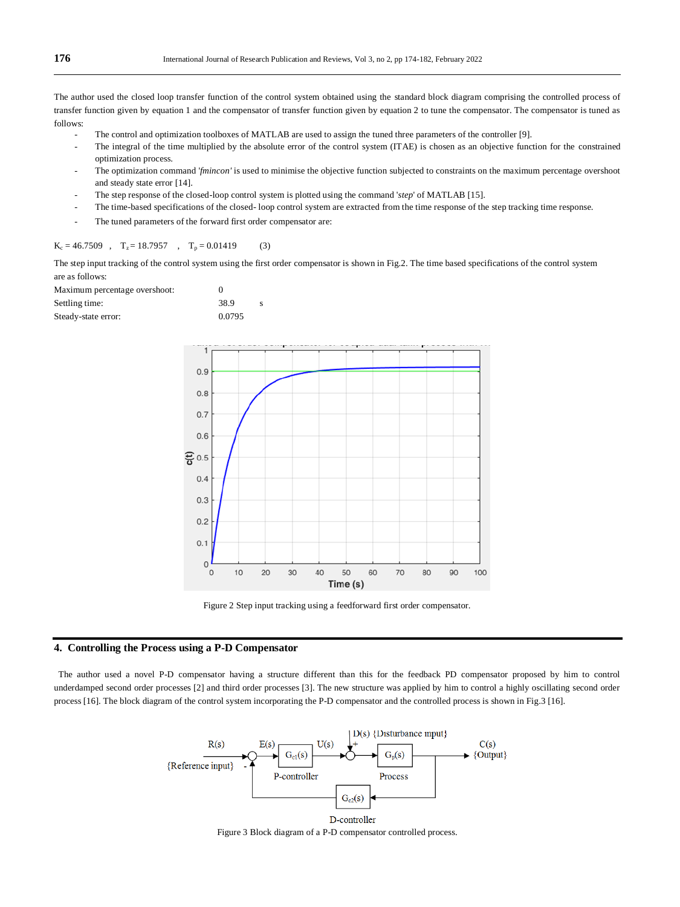The author used the closed loop transfer function of the control system obtained using the standard block diagram comprising the controlled process of transfer function given by equation 1 and the compensator of transfer function given by equation 2 to tune the compensator. The compensator is tuned as follows:

- The control and optimization toolboxes of MATLAB are used to assign the tuned three parameters of the controller [9].
- The integral of the time multiplied by the absolute error of the control system (ITAE) is chosen as an objective function for the constrained optimization process.
- The optimization command '*fmincon'* is used to minimise the objective function subjected to constraints on the maximum percentage overshoot and steady state error [14].
- The step response of the closed-loop control system is plotted using the command '*step*' of MATLAB [15].
- The time-based specifications of the closed- loop control system are extracted from the time response of the step tracking time response.
- The tuned parameters of the forward first order compensator are:

#### $K_c = 46.7509$ ,  $T_z = 18.7957$ ,  $T_p = 0.01419$  (3)

The step input tracking of the control system using the first order compensator is shown in Fig.2. The time based specifications of the control system are as follows:

| Maximum percentage overshoot: | $\mathbf{\Omega}$ |  |
|-------------------------------|-------------------|--|
| Settling time:                | 38.9              |  |
| Steady-state error:           | 0.0795            |  |



Figure 2 Step input tracking using a feedforward first order compensator.

#### **4. Controlling the Process using a P-D Compensator**

 The author used a novel P-D compensator having a structure different than this for the feedback PD compensator proposed by him to control underdamped second order processes [2] and third order processes [3]. The new structure was applied by him to control a highly oscillating second order process [16]. The block diagram of the control system incorporating the P-D compensator and the controlled process is shown in Fig.3 [16].



Figure 3 Block diagram of a P-D compensator controlled process.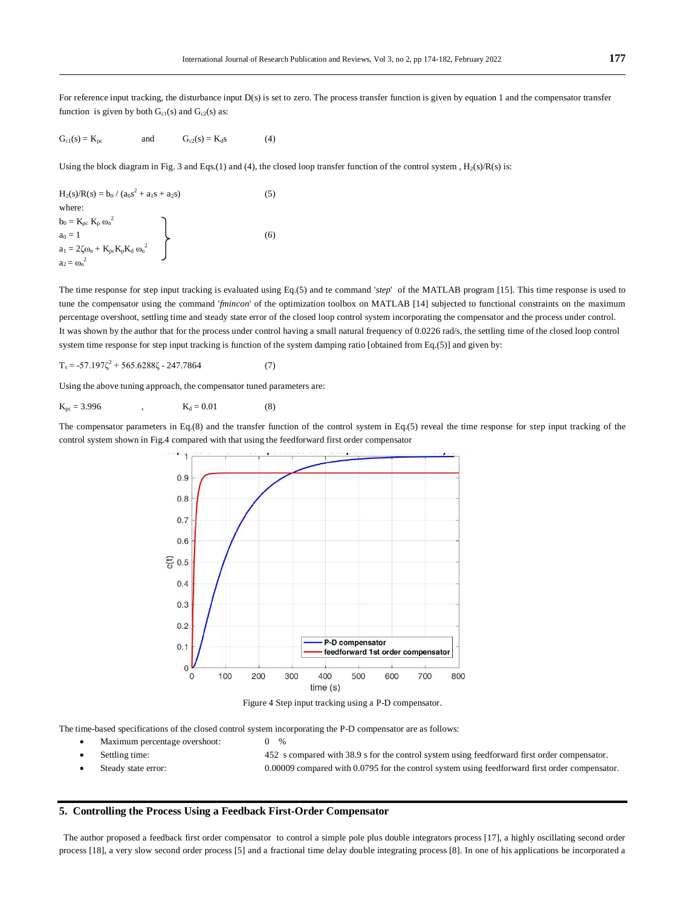For reference input tracking, the disturbance input D(s) is set to zero. The process transfer function is given by equation 1 and the compensator transfer function is given by both  $G<sub>c1</sub>(s)$  and  $G<sub>c2</sub>(s)$  as:

$$
G_{c1}(s) = K_{pc} \qquad \text{and} \qquad G_{c2}(s) = K_d s \qquad (4)
$$

Using the block diagram in Fig. 3 and Eqs.(1) and (4), the closed loop transfer function of the control system ,  $H_2(s)/R(s)$  is:

$$
H_2(s)/R(s) = b_0 / (a_0s^2 + a_1s + a_2s)
$$
\nwhere:  
\n
$$
b_0 = K_{pc} K_p \omega_n^2
$$
\n
$$
a_0 = 1
$$
\n
$$
a_1 = 2\zeta \omega_n + K_{pc} K_p K_d \omega_n^2
$$
\n(6)\n
$$
a_2 = \omega_n^2
$$

The time response for step input tracking is evaluated using Eq.(5) and te command '*step*' of the MATLAB program [15]. This time response is used to tune the compensator using the command '*fmincon*' of the optimization toolbox on MATLAB [14] subjected to functional constraints on the maximum percentage overshoot, settling time and steady state error of the closed loop control system incorporating the compensator and the process under control. It was shown by the author that for the process under control having a small natural frequency of 0.0226 rad/s, the settling time of the closed loop control system time response for step input tracking is function of the system damping ratio [obtained from Eq.(5)] and given by:

 $T_s = -57.197\zeta^2 + 565.6288\zeta - 247.7864$  (7)

Using the above tuning approach, the compensator tuned parameters are:

 $K_{\text{pc}} = 3.996$  ,  $K_{\text{d}} = 0.01$  (8)

The compensator parameters in Eq.(8) and the transfer function of the control system in Eq.(5) reveal the time response for step input tracking of the control system shown in Fig.4 compared with that using the feedforward first order compensator



Figure 4 Step input tracking using a P-D compensator.

The time-based specifications of the closed control system incorporating the P-D compensator are as follows:

- Maximum percentage overshoot: 0 %
	-

 Settling time: 452 s compared with 38.9 s for the control system using feedforward first order compensator. Steady state error: 0.00009 compared with 0.0795 for the control system using feedforward first order compensator.

#### **5. Controlling the Process Using a Feedback First-Order Compensator**

 The author proposed a feedback first order compensator to control a simple pole plus double integrators process [17], a highly oscillating second order process [18], a very slow second order process [5] and a fractional time delay double integrating process [8]. In one of his applications he incorporated a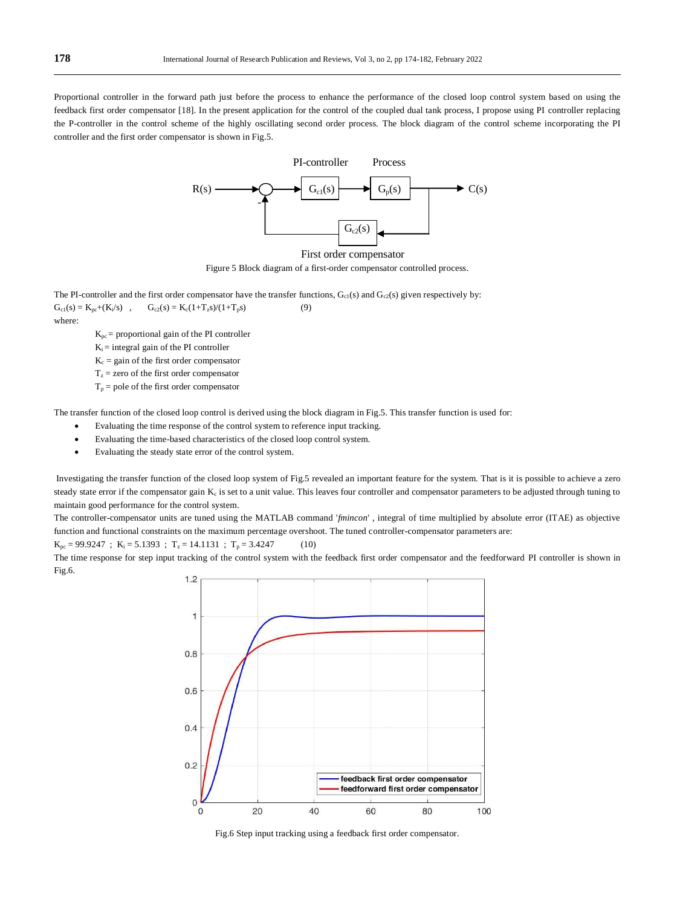Proportional controller in the forward path just before the process to enhance the performance of the closed loop control system based on using the feedback first order compensator [18]. In the present application for the control of the coupled dual tank process, I propose using PI controller replacing the P-controller in the control scheme of the highly oscillating second order process. The block diagram of the control scheme incorporating the PI controller and the first order compensator is shown in Fig.5.



Figure 5 Block diagram of a first-order compensator controlled process.

The PI-controller and the first order compensator have the transfer functions,  $G_{c1}(s)$  and  $G_{c2}(s)$  given respectively by:  $G_{c1}(s) = K_{pc} + (K_i/s)$ ,  $G_{c2}(s) = K_c(1+T_s s)/(1+T_p s)$  (9) where:

 $K_{pc}$  = proportional gain of the PI controller

 $K_i$  = integral gain of the PI controller

 $K_c$  = gain of the first order compensator

 $T_z$  = zero of the first order compensator

 $T_p$  = pole of the first order compensator

The transfer function of the closed loop control is derived using the block diagram in Fig.5. This transfer function is used for:

- Evaluating the time response of the control system to reference input tracking.
- Evaluating the time-based characteristics of the closed loop control system.
- Evaluating the steady state error of the control system.

Investigating the transfer function of the closed loop system of Fig.5 revealed an important feature for the system. That is it is possible to achieve a zero steady state error if the compensator gain  $K_c$  is set to a unit value. This leaves four controller and compensator parameters to be adjusted through tuning to maintain good performance for the control system.

The controller-compensator units are tuned using the MATLAB command '*fmincon*' , integral of time multiplied by absolute error (ITAE) as objective function and functional constraints on the maximum percentage overshoot. The tuned controller-compensator parameters are:

 $K_{\text{pc}} = 99.9247$ ;  $K_i = 5.1393$ ;  $T_z = 14.1131$ ;  $T_p = 3.4247$  (10)

The time response for step input tracking of the control system with the feedback first order compensator and the feedforward PI controller is shown in Fig.6.



Fig.6 Step input tracking using a feedback first order compensator.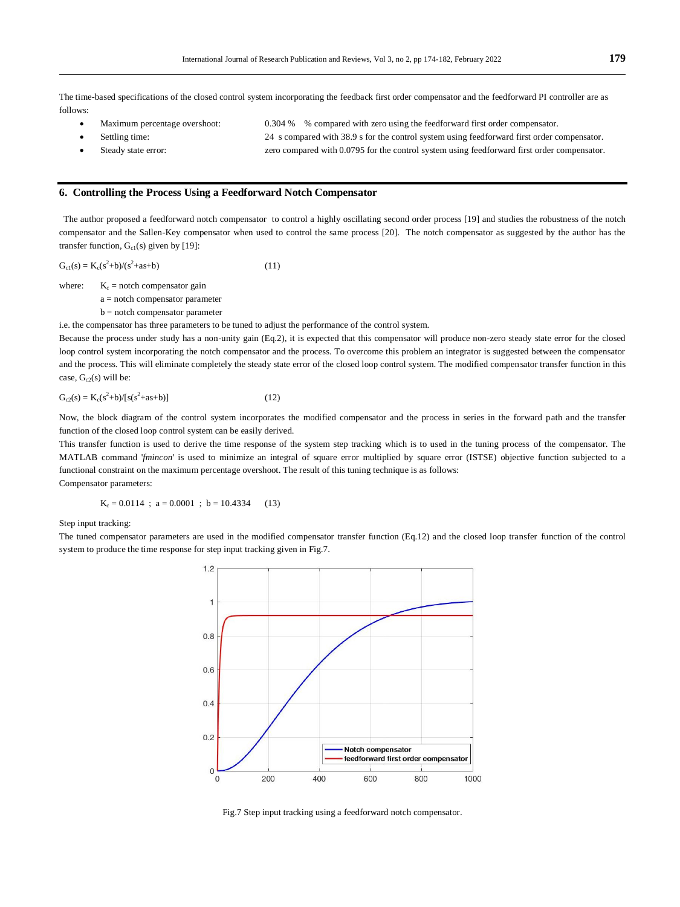The time-based specifications of the closed control system incorporating the feedback first order compensator and the feedforward PI controller are as follows:

- Maximum percentage overshoot: 0.304 % % compared with zero using the feedforward first order compensator.
	- Settling time: 24 s compared with 38.9 s for the control system using feedforward first order compensator.
	- Steady state error: zero compared with 0.0795 for the control system using feedforward first order compensator.

#### **6. Controlling the Process Using a Feedforward Notch Compensator**

 The author proposed a feedforward notch compensator to control a highly oscillating second order process [19] and studies the robustness of the notch compensator and the Sallen-Key compensator when used to control the same process [20]. The notch compensator as suggested by the author has the transfer function,  $G_{c1}(s)$  given by [19]:

 $G_{c1}(s) = K_c(s^2+b)/(s^2+as+b)$  (11)

where:  $K_c$  = notch compensator gain

a = notch compensator parameter

b = notch compensator parameter

i.e. the compensator has three parameters to be tuned to adjust the performance of the control system.

Because the process under study has a non-unity gain (Eq.2), it is expected that this compensator will produce non-zero steady state error for the closed loop control system incorporating the notch compensator and the process. To overcome this problem an integrator is suggested between the compensator and the process. This will eliminate completely the steady state error of the closed loop control system. The modified compensator transfer function in this case,  $G_{c2}(s)$  will be:

$$
G_{c2}(s) = K_c(s^2 + b) / [s(s^2 + as + b)]
$$
\n(12)

Now, the block diagram of the control system incorporates the modified compensator and the process in series in the forward path and the transfer function of the closed loop control system can be easily derived.

This transfer function is used to derive the time response of the system step tracking which is to used in the tuning process of the compensator. The MATLAB command '*fmincon*' is used to minimize an integral of square error multiplied by square error (ISTSE) objective function subjected to a functional constraint on the maximum percentage overshoot. The result of this tuning technique is as follows: Compensator parameters:

 $K_c = 0.0114$ ;  $a = 0.0001$ ;  $b = 10.4334$  (13)

Step input tracking:

The tuned compensator parameters are used in the modified compensator transfer function (Eq.12) and the closed loop transfer function of the control system to produce the time response for step input tracking given in Fig.7.



Fig.7 Step input tracking using a feedforward notch compensator.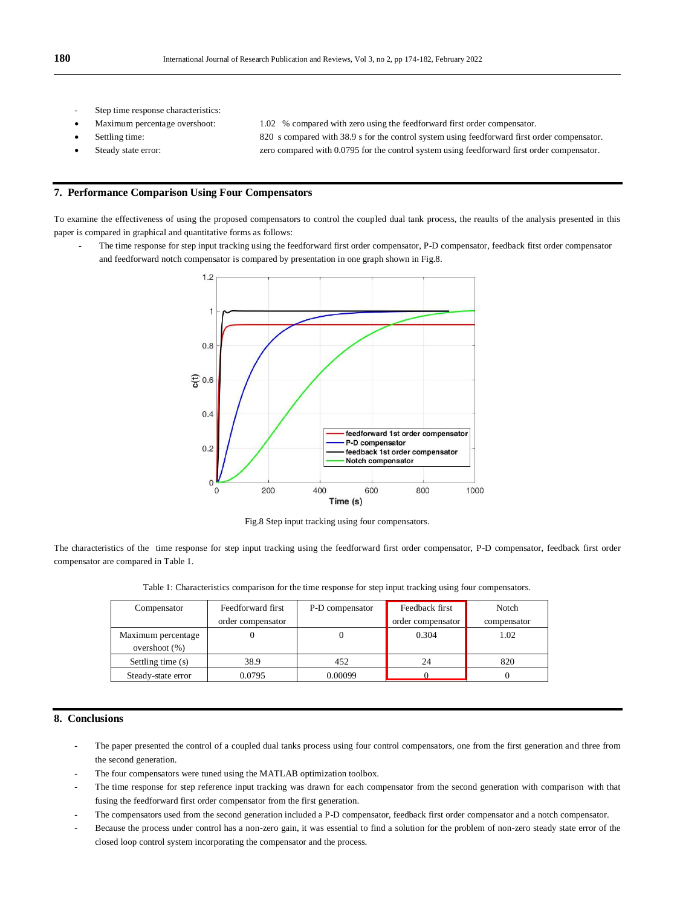- Step time response characteristics:
- 
- 
- 

Maximum percentage overshoot: 1.02 % compared with zero using the feedforward first order compensator.

- Settling time: 820 s compared with 38.9 s for the control system using feedforward first order compensator.
- Steady state error: zero compared with 0.0795 for the control system using feedforward first order compensator.

#### **7. Performance Comparison Using Four Compensators**

To examine the effectiveness of using the proposed compensators to control the coupled dual tank process, the reaults of the analysis presented in this paper is compared in graphical and quantitative forms as follows:

The time response for step input tracking using the feedforward first order compensator, P-D compensator, feedback fitst order compensator and feedforward notch compensator is compared by presentation in one graph shown in Fig.8.



Fig.8 Step input tracking using four compensators.

The characteristics of the time response for step input tracking using the feedforward first order compensator, P-D compensator, feedback first order compensator are compared in Table 1.

| Table 1: Characteristics comparison for the time response for step input tracking using four compensators. |  |  |
|------------------------------------------------------------------------------------------------------------|--|--|
|                                                                                                            |  |  |

| Compensator                            | Feedforward first | P-D compensator | Feedback first    | Notch       |
|----------------------------------------|-------------------|-----------------|-------------------|-------------|
|                                        | order compensator |                 | order compensator | compensator |
| Maximum percentage<br>overshoot $(\%)$ |                   |                 | 0.304             | 1.02        |
| Settling time (s)                      | 38.9              | 452             | 24                | 820         |
| Steady-state error                     | 0.0795            | 0.00099         |                   |             |

#### **8. Conclusions**

- The paper presented the control of a coupled dual tanks process using four control compensators, one from the first generation and three from the second generation.
- The four compensators were tuned using the MATLAB optimization toolbox.
- The time response for step reference input tracking was drawn for each compensator from the second generation with comparison with that fusing the feedforward first order compensator from the first generation.
- The compensators used from the second generation included a P-D compensator, feedback first order compensator and a notch compensator.
- Because the process under control has a non-zero gain, it was essential to find a solution for the problem of non-zero steady state error of the closed loop control system incorporating the compensator and the process.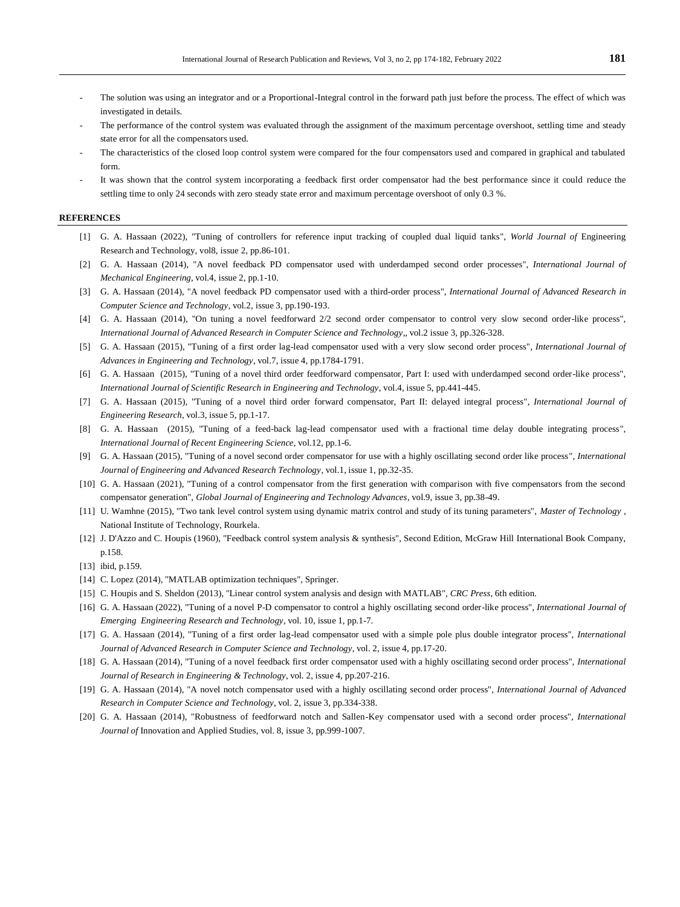- The solution was using an integrator and or a Proportional-Integral control in the forward path just before the process. The effect of which was investigated in details.
- The performance of the control system was evaluated through the assignment of the maximum percentage overshoot, settling time and steady state error for all the compensators used.
- The characteristics of the closed loop control system were compared for the four compensators used and compared in graphical and tabulated form.
- It was shown that the control system incorporating a feedback first order compensator had the best performance since it could reduce the settling time to only 24 seconds with zero steady state error and maximum percentage overshoot of only 0.3 %.

#### **REFERENCES**

- [1] G. A. Hassaan (2022), "Tuning of controllers for reference input tracking of coupled dual liquid tanks", *World Journal of* Engineering Research and Technology, vol8, issue 2, pp.86-101.
- [2] G. A. Hassaan (2014), "A novel feedback PD compensator used with underdamped second order processes", *International Journal of Mechanical Engineering*, vol.4, issue 2, pp.1-10.
- [3] G. A. Hassaan (2014), "A novel feedback PD compensator used with a third-order process", *International Journal of Advanced Research in Computer Science and Technology*, vol.2, issue 3, pp.190-193.
- [4] G. A. Hassaan (2014), "On tuning a novel feedforward 2/2 second order compensator to control very slow second order-like process", *International Journal of Advanced Research in Computer Science and Technology*,, vol.2 issue 3, pp.326-328.
- [5] G. A. Hassaan (2015), "Tuning of a first order lag-lead compensator used with a very slow second order process", *International Journal of Advances in Engineering and Technology*, vol.7, issue 4, pp.1784-1791.
- [6] G. A. Hassaan (2015), "Tuning of a novel third order feedforward compensator, Part I: used with underdamped second order-like process", *International Journal of Scientific Research in Engineering and Technology*, vol.4, issue 5, pp.441-445.
- [7] G. A. Hassaan (2015), "Tuning of a novel third order forward compensator, Part II: delayed integral process", *International Journal of Engineering Research*, vol.3, issue 5, pp.1-17.
- [8] G. A. Hassaan (2015), "Tuning of a feed-back lag-lead compensator used with a fractional time delay double integrating process", *International Journal of Recent Engineering Science*, vol.12, pp.1-6.
- [9] G. A. Hassaan (2015), "Tuning of a novel second order compensator for use with a highly oscillating second order like process", *International Journal of Engineering and Advanced Research Technology*, vol.1, issue 1, pp.32-35.
- [10] G. A. Hassaan (2021), "Tuning of a control compensator from the first generation with comparison with five compensators from the second compensator generation", *Global Journal of Engineering and Technology Advances*, vol.9, issue 3, pp.38-49.
- [11] U. Wamhne (2015), "Two tank level control system using dynamic matrix control and study of its tuning parameters", *Master of Technology* , National Institute of Technology, Rourkela.
- [12] J. D'Azzo and C. Houpis (1960), "Feedback control system analysis & synthesis", Second Edition, McGraw Hill International Book Company, p.158.
- [13] ibid, p.159.
- [14] C. Lopez (2014), "MATLAB optimization techniques", Springer.
- [15] C. Houpis and S. Sheldon (2013), "Linear control system analysis and design with MATLAB", *CRC Press*, 6th edition.
- [16] G. A. Hassaan (2022), "Tuning of a novel P-D compensator to control a highly oscillating second order-like process", *International Journal of Emerging Engineering Research and Technology*, vol. 10, issue 1, pp.1-7.
- [17] G. A. Hassaan (2014), "Tuning of a first order lag-lead compensator used with a simple pole plus double integrator process", *International Journal of Advanced Research in Computer Science and Technology*, vol. 2, issue 4, pp.17-20.
- [18] G. A. Hassaan (2014), "Tuning of a novel feedback first order compensator used with a highly oscillating second order process", *International Journal of Research in Engineering & Technology*, vol. 2, issue 4, pp.207-216.
- [19] G. A. Hassaan (2014), "A novel notch compensator used with a highly oscillating second order process", *International Journal of Advanced Research in Computer Science and Technology*, vol. 2, issue 3, pp.334-338.
- [20] G. A. Hassaan (2014), "Robustness of feedforward notch and Sallen-Key compensator used with a second order process", *International Journal of* Innovation and Applied Studies, vol. 8, issue 3, pp.999-1007.